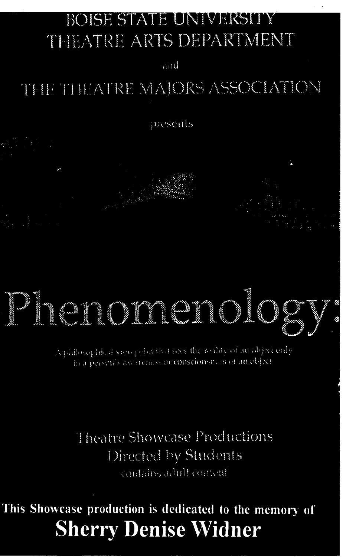### BOISE STATE UNIVERSITY **THEATRE ARTS DEPARTMENT**

and

# THE THEATRE MAJORS ASSOCIATION

presents



A philosophical very joint (but sees the reality of an object only hea person's assistences or consciousness of an object

Theatre Showcase Productions Directed by Students contains adult content

This Showcase production is dedicated to the memory of **Sherry Denise Widner**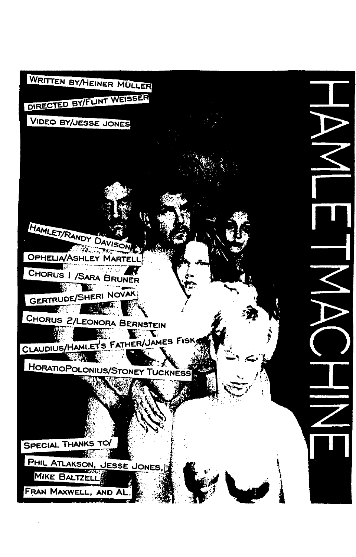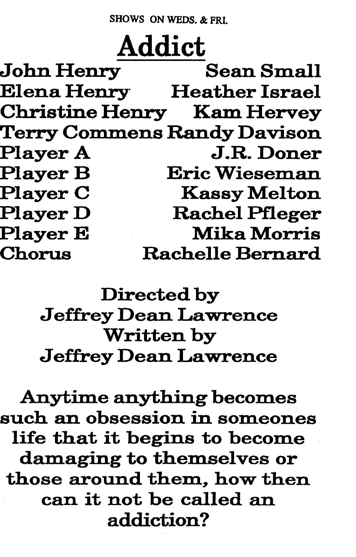SHOWS ON WEDS. & FRI.

Addict<br>Sean Small John Henry Elena Henry Heather Israel Christine Henry Kam Hervey Terry Commens Randy Davison Player A J.R. Doner Player B Eric Wiesem.an **Kassy Melton** Player D Rachel Pfleger Player E Mika Morris Chorus Rachelle Bernard

> Directed by Jeffrey Dean Lawrence Written by Jeffrey Dean Lawrence

Anytime anything becomes such an obsession in someones life that it begins to become dam aging to themselves or those around them, how then can it not be called an addiction?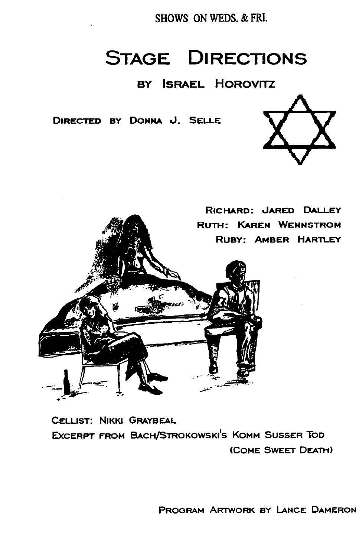SHOWS ON WEDS. & FRI.

## **STAGE DIRECTIONS**

### BY ISRAEL HOROVITZ

DIRECTED BY DONNA J. SELLE







CELLIST: NIKKI GRAYBEAL Excerpt from Bach/Strokowski's Komm Susser Tod (COME SWEET DEATH)

PROGRAM ARTWORK BY lANCE DAMERON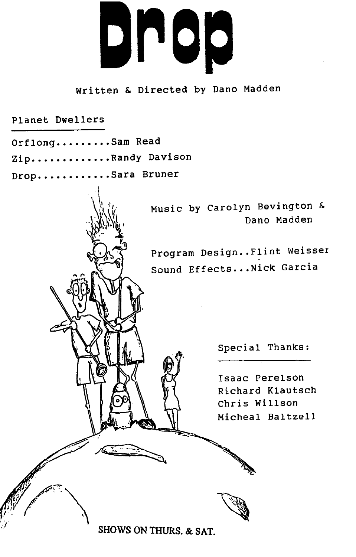

#### Written & Directed by Dano Madden

Planet Dwellers

Orflong........Sam Read Zip.............Randy Davison

Drop...........Sara Bruner

Music by Carolyn Bevington & Dano Madden

Program Design..Flint Weisser Sound Effects... Nick Garcia

Special Thanks:

Isaac Perelson Richard Klautsch Chris Willson Micheal Baltzell

SHOWS ON THURS. & SAT.

 $\sum_{\mathbf{k}}$ 

 $\mathbb{Z}$  , which is a set of  $\mathbb{Z}$  . We set  $\mathbb{Z}$  , where  $\mathbb{Z}$  is a set of  $\mathbb{Z}$  . We set  $\mathbb{Z}$  , where  $\mathbb{Z}$  is a set of  $\mathbb{Z}$  , where  $\mathbb{Z}$  is a set of  $\mathbb{Z}$  , where  $\mathbb{Z}$  is a set of  $\mathbb$ 

 $\mathscr{C}$  is a set of  $\mathscr{C}$ 

.. ·- --..:-

fr'fl

r $\mathcal{C}$  is a set of  $\mathcal{C}$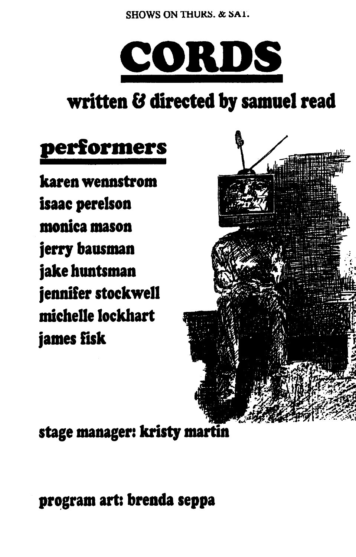SHOWS ON THURS, & SAT.



# written & directed by samuel read

# performers

karen wennstrom isaac perelson monica mason jerry bausman jake huntsman jennifer stockwell michelle lockhart james fisk



stage manager: kristy martin

program art: brenda seppa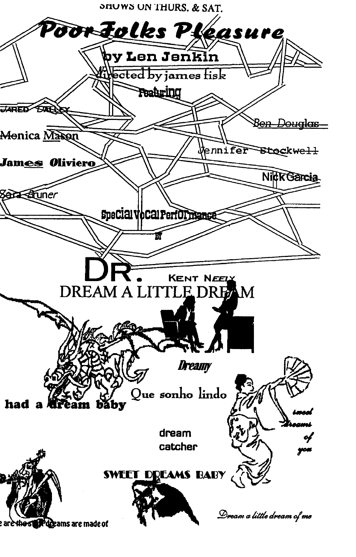